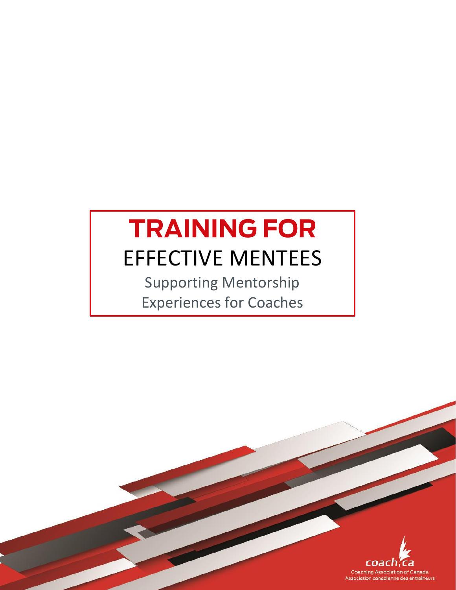# **TRAINING FOR** EFFECTIVE MENTEES

Supporting Mentorship Experiences for Coaches

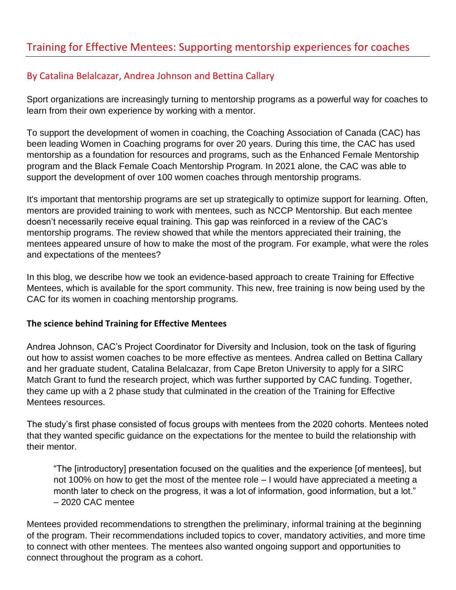## Training for Effective Mentees: Supporting mentorship experiences for coaches

### By Catalina Belalcazar, Andrea Johnson and Bettina Callary

Sport organizations are increasingly turning to mentorship programs as a powerful way for coaches to learn from their own experience by working with a mentor.

To support the development of women in coaching, the Coaching Association of Canada (CAC) has been leading Women in Coaching programs for over 20 years. During this time, the CAC has used mentorship as a foundation for resources and programs, such as the Enhanced Female Mentorship program and the Black Female Coach Mentorship Program. In 2021 alone, the CAC was able to support the development of over 100 women coaches through mentorship programs.

It's important that mentorship programs are set up strategically to optimize support for learning. Often, mentors are provided training to work with mentees, such as NCCP Mentorship. But each mentee doesn't necessarily receive equal training. This gap was reinforced in a review of the CAC's mentorship programs. The review showed that while the mentors appreciated their training, the mentees appeared unsure of how to make the most of the program. For example, what were the roles and expectations of the mentees?

In this blog, we describe how we took an evidence-based approach to create Training for Effective Mentees, which is available for the sport community. This new, free training is now being used by the CAC for its women in coaching mentorship programs.

#### **The science behind Training for Effective Mentees**

Andrea Johnson, CAC's Project Coordinator for Diversity and Inclusion, took on the task of figuring out how to assist women coaches to be more effective as mentees. Andrea called on Bettina Callary and her graduate student, Catalina Belalcazar, from Cape Breton University to apply for a SIRC Match Grant to fund the research project, which was further supported by CAC funding. Together, they came up with a 2 phase study that culminated in the creation of the Training for Effective Mentees resources.

The study's first phase consisted of focus groups with mentees from the 2020 cohorts. Mentees noted that they wanted specific guidance on the expectations for the mentee to build the relationship with their mentor.

"The [introductory] presentation focused on the qualities and the experience [of mentees], but not 100% on how to get the most of the mentee role – I would have appreciated a meeting a month later to check on the progress, it was a lot of information, good information, but a lot." – 2020 CAC mentee

Mentees provided recommendations to strengthen the preliminary, informal training at the beginning of the program. Their recommendations included topics to cover, mandatory activities, and more time to connect with other mentees. The mentees also wanted ongoing support and opportunities to connect throughout the program as a cohort.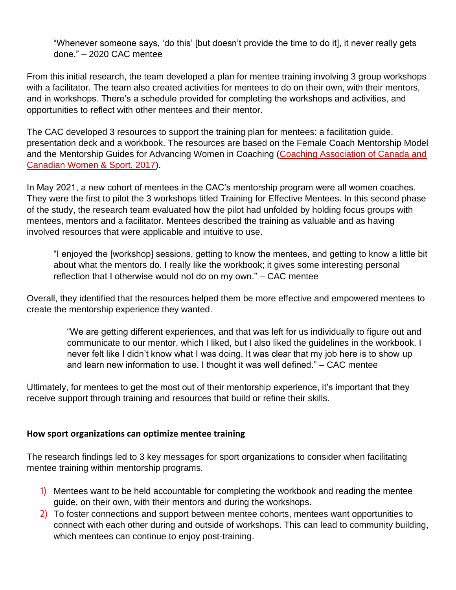"Whenever someone says, 'do this' [but doesn't provide the time to do it], it never really gets done." – 2020 CAC mentee

From this initial research, the team developed a plan for mentee training involving 3 group workshops with a facilitator. The team also created activities for mentees to do on their own, with their mentors, and in workshops. There's a schedule provided for completing the workshops and activities, and opportunities to reflect with other mentees and their mentor.

The CAC developed 3 resources to support the training plan for mentees: a facilitation guide, presentation deck and a workbook. The resources are based on the Female Coach Mentorship Model and the Mentorship Guides for Advancing Women in Coaching [\(Coaching Association of Canada and](https://coach.ca/sites/default/files/2020-02/CAC_Women_In_Coaching_Mentorship_Guide_MENTEE.pdf)  [Canadian Women & Sport, 2017\)](https://coach.ca/sites/default/files/2020-02/CAC_Women_In_Coaching_Mentorship_Guide_MENTEE.pdf).

In May 2021, a new cohort of mentees in the CAC's mentorship program were all women coaches. They were the first to pilot the 3 workshops titled Training for Effective Mentees. In this second phase of the study, the research team evaluated how the pilot had unfolded by holding focus groups with mentees, mentors and a facilitator. Mentees described the training as valuable and as having involved resources that were applicable and intuitive to use.

"I enjoyed the [workshop] sessions, getting to know the mentees, and getting to know a little bit about what the mentors do. I really like the workbook; it gives some interesting personal reflection that I otherwise would not do on my own." – CAC mentee

Overall, they identified that the resources helped them be more effective and empowered mentees to create the mentorship experience they wanted.

"We are getting different experiences, and that was left for us individually to figure out and communicate to our mentor, which I liked, but I also liked the guidelines in the workbook. I never felt like I didn't know what I was doing. It was clear that my job here is to show up and learn new information to use. I thought it was well defined." – CAC mentee

Ultimately, for mentees to get the most out of their mentorship experience, it's important that they receive support through training and resources that build or refine their skills.

#### **How sport organizations can optimize mentee training**

The research findings led to 3 key messages for sport organizations to consider when facilitating mentee training within mentorship programs.

- 1) Mentees want to be held accountable for completing the workbook and reading the mentee guide, on their own, with their mentors and during the workshops.
- 2) To foster connections and support between mentee cohorts, mentees want opportunities to connect with each other during and outside of workshops. This can lead to community building, which mentees can continue to enjoy post-training.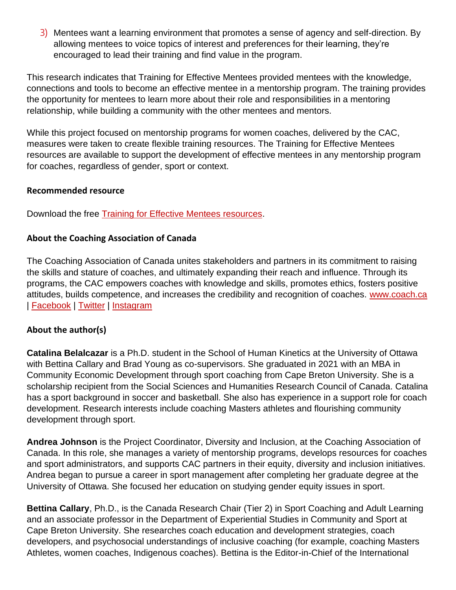3) Mentees want a learning environment that promotes a sense of agency and self-direction. By allowing mentees to voice topics of interest and preferences for their learning, they're encouraged to lead their training and find value in the program.

This research indicates that Training for Effective Mentees provided mentees with the knowledge, connections and tools to become an effective mentee in a mentorship program. The training provides the opportunity for mentees to learn more about their role and responsibilities in a mentoring relationship, while building a community with the other mentees and mentors.

While this project focused on mentorship programs for women coaches, delivered by the CAC, measures were taken to create flexible training resources. The Training for Effective Mentees resources are available to support the development of effective mentees in any mentorship program for coaches, regardless of gender, sport or context.

#### **Recommended resource**

Download the free [Training for Effective Mentees resources.](http://www.coach.ca/female-coach-mentorship-model)

#### **About the Coaching Association of Canada**

The Coaching Association of Canada unites stakeholders and partners in its commitment to raising the skills and stature of coaches, and ultimately expanding their reach and influence. Through its programs, the CAC empowers coaches with knowledge and skills, promotes ethics, fosters positive attitudes, builds competence, and increases the credibility and recognition of coaches. [www.coach.ca](http://www.coach.ca/) | [Facebook](https://www.facebook.com/coach.ca) | [Twitter](https://twitter.com/CAC_ACE) | [Instagram](https://www.instagram.com/coach.ca)

#### **About the author(s)**

**Catalina Belalcazar** is a Ph.D. student in the School of Human Kinetics at the University of Ottawa with Bettina Callary and Brad Young as co-supervisors. She graduated in 2021 with an MBA in Community Economic Development through sport coaching from Cape Breton University. She is a scholarship recipient from the Social Sciences and Humanities Research Council of Canada. Catalina has a sport background in soccer and basketball. She also has experience in a support role for coach development. Research interests include coaching Masters athletes and flourishing community development through sport.

**Andrea Johnson** is the Project Coordinator, Diversity and Inclusion, at the Coaching Association of Canada. In this role, she manages a variety of mentorship programs, develops resources for coaches and sport administrators, and supports CAC partners in their equity, diversity and inclusion initiatives. Andrea began to pursue a career in sport management after completing her graduate degree at the University of Ottawa. She focused her education on studying gender equity issues in sport.

**Bettina Callary**, Ph.D., is the Canada Research Chair (Tier 2) in Sport Coaching and Adult Learning and an associate professor in the Department of Experiential Studies in Community and Sport at Cape Breton University. She researches coach education and development strategies, coach developers, and psychosocial understandings of inclusive coaching (for example, coaching Masters Athletes, women coaches, Indigenous coaches). Bettina is the Editor-in-Chief of the International